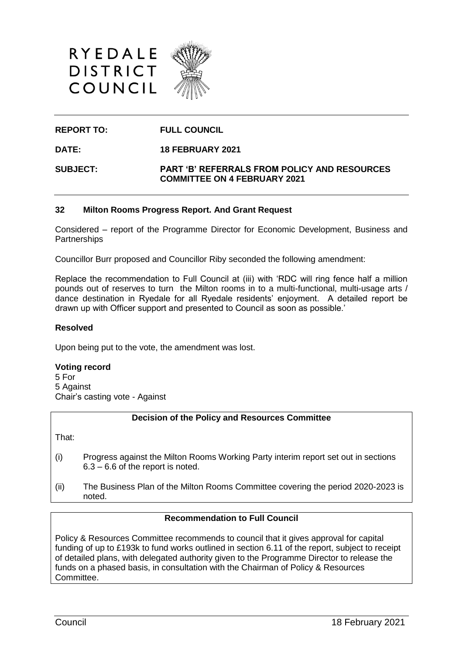



# **REPORT TO: FULL COUNCIL**

**DATE: 18 FEBRUARY 2021**

**SUBJECT: PART 'B' REFERRALS FROM POLICY AND RESOURCES COMMITTEE ON 4 FEBRUARY 2021**

## **32 Milton Rooms Progress Report. And Grant Request**

Considered – report of the Programme Director for Economic Development, Business and **Partnerships** 

Councillor Burr proposed and Councillor Riby seconded the following amendment:

Replace the recommendation to Full Council at (iii) with 'RDC will ring fence half a million pounds out of reserves to turn the Milton rooms in to a multi-functional, multi-usage arts / dance destination in Ryedale for all Ryedale residents' enjoyment. A detailed report be drawn up with Officer support and presented to Council as soon as possible.'

### **Resolved**

Upon being put to the vote, the amendment was lost.

### **Voting record**

5 For 5 Against Chair's casting vote - Against

### **Decision of the Policy and Resources Committee**

That:

- (i) Progress against the Milton Rooms Working Party interim report set out in sections 6.3 – 6.6 of the report is noted.
- (ii) The Business Plan of the Milton Rooms Committee covering the period 2020-2023 is noted.

### **Recommendation to Full Council**

Policy & Resources Committee recommends to council that it gives approval for capital funding of up to £193k to fund works outlined in section 6.11 of the report, subject to receipt of detailed plans, with delegated authority given to the Programme Director to release the funds on a phased basis, in consultation with the Chairman of Policy & Resources Committee.